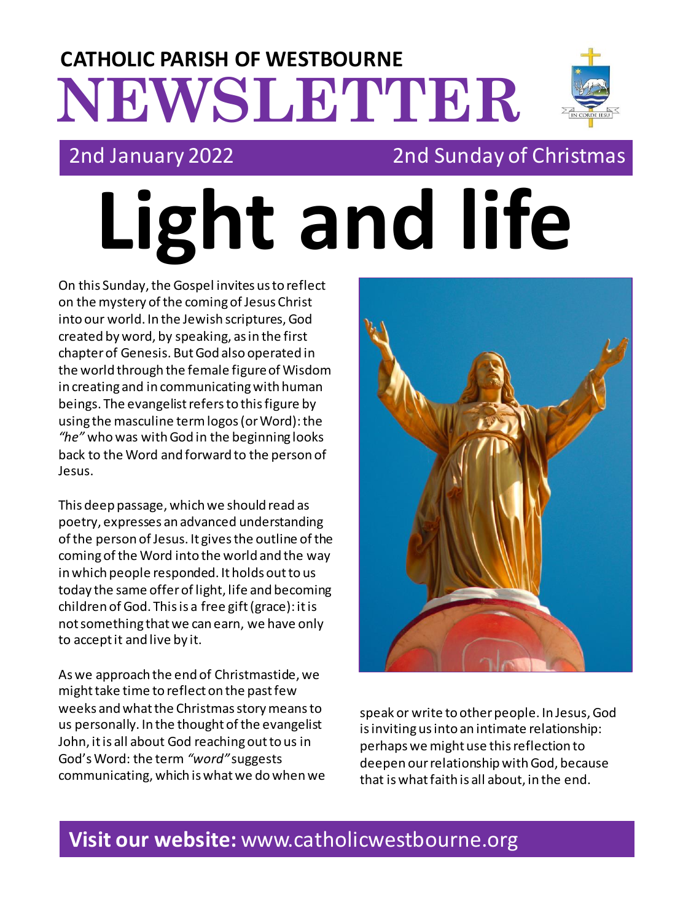## **NEWSLETTER CATHOLIC PARISH OF WESTBOURNE**



## 2nd January 2022 2nd Sunday of Christmas

**Light and life**

On this Sunday, the Gospel invites us to reflect on the mystery of the coming of Jesus Christ into our world. In the Jewish scriptures, God created by word, by speaking, as in the first chapter of Genesis. But God also operated in the world through the female figure of Wisdom in creating and in communicating with human beings. The evangelist refers to this figure by using the masculine term logos (or Word): the *"he"* who was with God in the beginning looks back to the Word and forward to the person of Jesus.

This deep passage, which we should read as poetry, expresses an advanced understanding of the person of Jesus. It gives the outline of the coming of the Word into the world and the way in which people responded. It holds out to us today the same offer of light, life and becoming children of God. This is a free gift (grace): it is not something that we can earn, we have only to accept it and live by it.

As we approach the end of Christmastide, we might take time to reflect on the past few weeks and what the Christmas story means to us personally. In the thought of the evangelist John, it is all about God reaching out to us in God's Word: the term *"word"* suggests communicating, which is what we do when we



speak or write to other people. In Jesus, God isinviting us into an intimate relationship: perhaps we might use this reflection to deepen our relationship with God, because that is what faith is all about, in the end.

## **Visit our website:** www.catholicwestbourne.org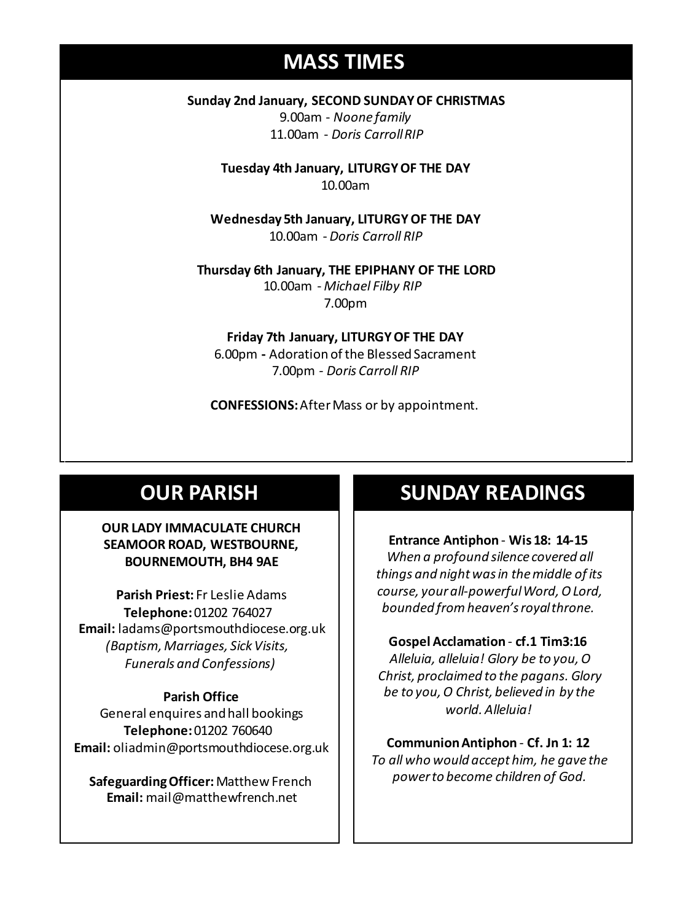## **MASS TIMES**

**Sunday 2nd January, SECOND SUNDAY OF CHRISTMAS** 9.00am - *Noone family* 11.00am - *Doris Carroll RIP*

> **Tuesday 4th January, LITURGY OF THE DAY** 10.00am

**Wednesday 5th January, LITURGY OF THE DAY** 10.00am - *Doris Carroll RIP*

**Wednesday 14th** *Repose of the souls of Bernard Charles and Elsie May Pratt* **Thursday 6th January, THE EPIPHANY OF THE LORD Saturday 16th** *Rosemarie Schofield RIP* 10.00am - *Michael Filby RIP* 7.00pm

> **Friday 7th January, LITURGY OF THE DAY** 6.00pm **-** Adoration of the Blessed Sacrament 7.00pm *- Doris Carroll RIP*

**CONFESSIONS:**After Mass or by appointment.

## **OUR PARISH**

### **OUR LADY IMMACULATE CHURCH SEAMOOR ROAD, WESTBOURNE, BOURNEMOUTH, BH4 9AE**

**Parish Priest:** Fr Leslie Adams **Telephone:**01202 764027 **Email:** ladams@portsmouthdiocese.org.uk *(Baptism, Marriages, Sick Visits, Funerals and Confessions)*

#### **Parish Office**

General enquires andhall bookings **Telephone:**01202 760640 **Email:** oliadmin@portsmouthdiocese.org.uk

**Safeguarding Officer:** Matthew French **Email:** mail@matthewfrench.net

## **SUNDAY READINGS**

**Entrance Antiphon** - **Wis 18: 14-15** *When a profound silence covered all things and night was in the middle of its course, your all-powerful Word, O Lord, bounded from heaven's royal throne.*

#### **Gospel Acclamation** - **cf.1 Tim3:16**

*Alleluia, alleluia! Glory be to you, O Christ, proclaimed to the pagans. Glory be to you, O Christ, believed in by the world. Alleluia!*

**Communion Antiphon** - **Cf. Jn 1: 12** *To all who would accept him, he gave the power to become children of God.*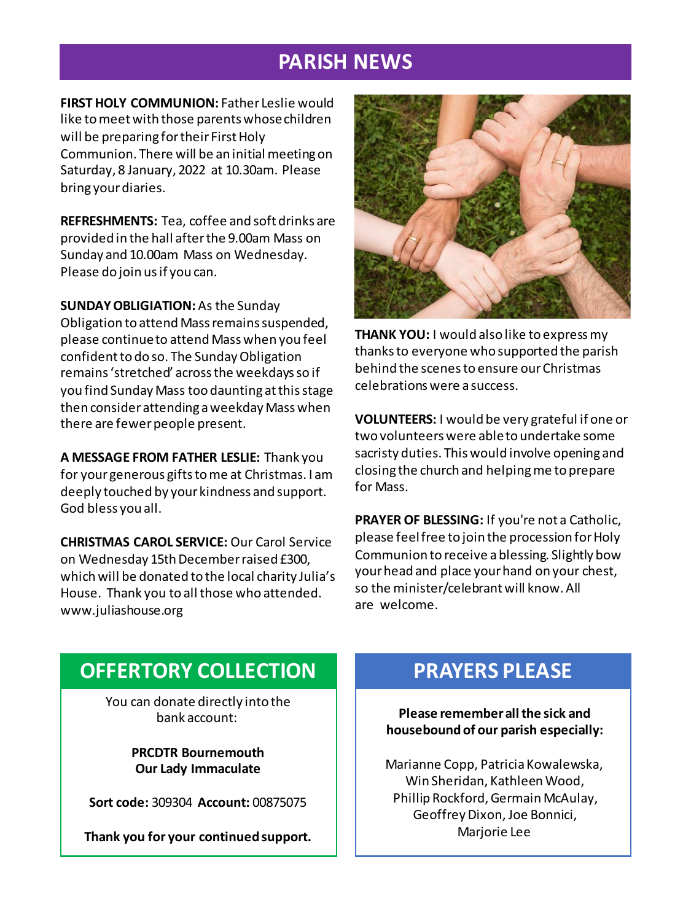## **PARISH NEWS**

**FIRST HOLY COMMUNION:** Father Leslie would like to meet with those parents whose children will be preparing for their First Holy Communion. There will be an initial meeting on Saturday, 8 January, 2022 at 10.30am. Please bring your diaries.

**REFRESHMENTS:** Tea, coffee and soft drinks are provided in the hall after the 9.00am Mass on Sunday and 10.00am Mass on Wednesday. Please do join us if you can.

**SUNDAY OBLIGIATION:**As the Sunday Obligation to attend Mass remains suspended, please continue to attend Mass when you feel confident to do so. The Sunday Obligation remains 'stretched' across the weekdays so if you find Sunday Mass too daunting at this stage then consider attending a weekday Mass when there are fewer people present.

**A MESSAGE FROM FATHER LESLIE:** Thank you for your generous gifts to me at Christmas. I am deeply touched by your kindness and support. God bless you all.

**CHRISTMAS CAROL SERVICE:** Our Carol Service on Wednesday 15th December raised £300, which will be donated to the local charity Julia's House. Thank you to all those who attended. www.juliashouse.org



**THANK YOU:** I would also like to express my thanks to everyone who supported the parish behind the scenes to ensure our Christmas celebrations were a success.

**VOLUNTEERS:** I would be very grateful if one or two volunteers were able to undertake some sacristy duties. This would involve opening and closing the church and helping me to prepare for Mass.

**PRAYER OF BLESSING:** If you're not a Catholic, please feel free to join the procession for Holy Communion to receive a blessing. Slightly bow your head and place your hand on your chest, so the minister/celebrant will know. All are welcome.

## **OFFERTORY COLLECTION**

You can donate directly into the bank account:

> **PRCDTR Bournemouth Our Lady Immaculate**

**Sort code:** 309304 **Account:** 00875075

**Thank you for your continued support.**

## **PRAYERS PLEASE**

**Please remember all the sick and housebound of our parish especially:**

Marianne Copp, Patricia Kowalewska, Win Sheridan, Kathleen Wood, Phillip Rockford, Germain McAulay, Geoffrey Dixon, Joe Bonnici, Marjorie Lee